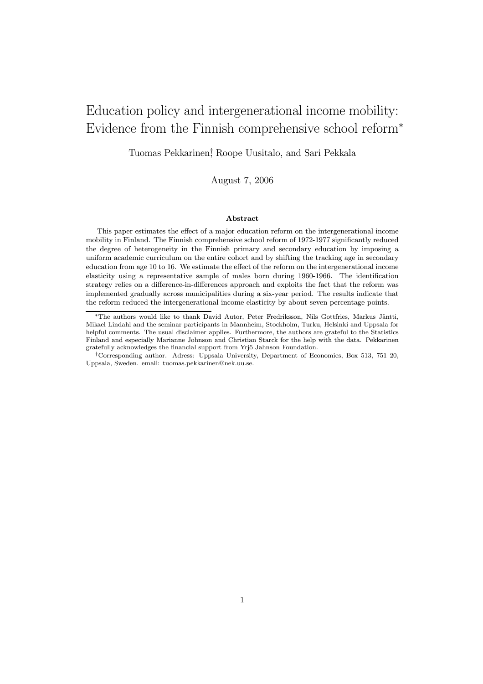# Education policy and intergenerational income mobility: Evidence from the Finnish comprehensive school reform<sup>∗</sup>

Tuomas Pekkarinen† , Roope Uusitalo, and Sari Pekkala

August 7, 2006

### Abstract

This paper estimates the effect of a major education reform on the intergenerational income mobility in Finland. The Finnish comprehensive school reform of 1972-1977 significantly reduced the degree of heterogeneity in the Finnish primary and secondary education by imposing a uniform academic curriculum on the entire cohort and by shifting the tracking age in secondary education from age 10 to 16. We estimate the effect of the reform on the intergenerational income elasticity using a representative sample of males born during 1960-1966. The identification strategy relies on a difference-in-differences approach and exploits the fact that the reform was implemented gradually across municipalities during a six-year period. The results indicate that the reform reduced the intergenerational income elasticity by about seven percentage points.

<sup>\*</sup>The authors would like to thank David Autor, Peter Fredriksson, Nils Gottfries, Markus Jäntti, Mikael Lindahl and the seminar participants in Mannheim, Stockholm, Turku, Helsinki and Uppsala for helpful comments. The usual disclaimer applies. Furthermore, the authors are grateful to the Statistics Finland and especially Marianne Johnson and Christian Starck for the help with the data. Pekkarinen gratefully acknowledges the financial support from Yrjö Jahnson Foundation.

<sup>†</sup>Corresponding author. Adress: Uppsala University, Department of Economics, Box 513, 751 20, Uppsala, Sweden. email: tuomas.pekkarinen@nek.uu.se.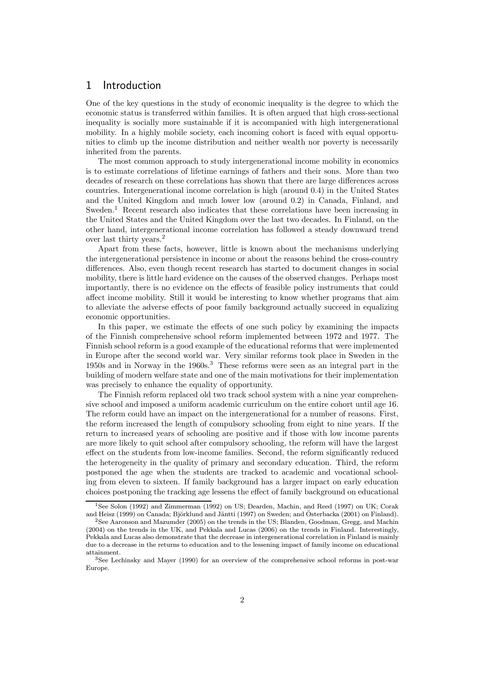# 1 Introduction

One of the key questions in the study of economic inequality is the degree to which the economic status is transferred within families. It is often argued that high cross-sectional inequality is socially more sustainable if it is accompanied with high intergenerational mobility. In a highly mobile society, each incoming cohort is faced with equal opportunities to climb up the income distribution and neither wealth nor poverty is necessarily inherited from the parents.

The most common approach to study intergenerational income mobility in economics is to estimate correlations of lifetime earnings of fathers and their sons. More than two decades of research on these correlations has shown that there are large differences across countries. Intergenerational income correlation is high (around 0.4) in the United States and the United Kingdom and much lower low (around 0.2) in Canada, Finland, and Sweden.<sup>1</sup> Recent research also indicates that these correlations have been increasing in the United States and the United Kingdom over the last two decades. In Finland, on the other hand, intergenerational income correlation has followed a steady downward trend over last thirty years.<sup>2</sup>

Apart from these facts, however, little is known about the mechanisms underlying the intergenerational persistence in income or about the reasons behind the cross-country differences. Also, even though recent research has started to document changes in social mobility, there is little hard evidence on the causes of the observed changes. Perhaps most importantly, there is no evidence on the effects of feasible policy instruments that could affect income mobility. Still it would be interesting to know whether programs that aim to alleviate the adverse effects of poor family background actually succeed in equalizing economic opportunities.

In this paper, we estimate the effects of one such policy by examining the impacts of the Finnish comprehensive school reform implemented between 1972 and 1977. The Finnish school reform is a good example of the educational reforms that were implemented in Europe after the second world war. Very similar reforms took place in Sweden in the 1950s and in Norway in the 1960s.<sup>3</sup> These reforms were seen as an integral part in the building of modern welfare state and one of the main motivations for their implementation was precisely to enhance the equality of opportunity.

The Finnish reform replaced old two track school system with a nine year comprehensive school and imposed a uniform academic curriculum on the entire cohort until age 16. The reform could have an impact on the intergenerational for a number of reasons. First, the reform increased the length of compulsory schooling from eight to nine years. If the return to increased years of schooling are positive and if those with low income parents are more likely to quit school after compulsory schooling, the reform will have the largest effect on the students from low-income families. Second, the reform significantly reduced the heterogeneity in the quality of primary and secondary education. Third, the reform postponed the age when the students are tracked to academic and vocational schooling from eleven to sixteen. If family background has a larger impact on early education choices postponing the tracking age lessens the effect of family background on educational

<sup>1</sup>See Solon (1992) and Zimmerman (1992) on US; Dearden, Machin, and Reed (1997) on UK; Corak and Heisz (1999) on Canada; Björklund and Jäntti (1997) on Sweden; and Österbacka (2001) on Finland).

<sup>2</sup>See Aaronson and Mazumder (2005) on the trends in the US; Blanden, Goodman, Gregg, and Machin (2004) on the trends in the UK, and Pekkala and Lucas (2006) on the trends in Finland. Interestingly, Pekkala and Lucas also demonstrate that the decrease in intergenerational correlation in Finland is mainly due to a decrease in the returns to education and to the lessening impact of family income on educational attainment.

<sup>3</sup>See Lechinsky and Mayer (1990) for an overview of the comprehensive school reforms in post-war Europe.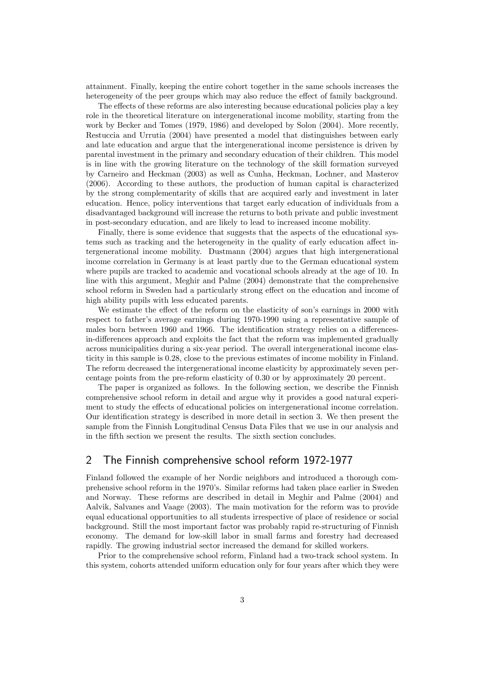attainment. Finally, keeping the entire cohort together in the same schools increases the heterogeneity of the peer groups which may also reduce the effect of family background.

The effects of these reforms are also interesting because educational policies play a key role in the theoretical literature on intergenerational income mobility, starting from the work by Becker and Tomes (1979, 1986) and developed by Solon (2004). More recently, Restuccia and Urrutia (2004) have presented a model that distinguishes between early and late education and argue that the intergenerational income persistence is driven by parental investment in the primary and secondary education of their children. This model is in line with the growing literature on the technology of the skill formation surveyed by Carneiro and Heckman (2003) as well as Cunha, Heckman, Lochner, and Masterov (2006). According to these authors, the production of human capital is characterized by the strong complementarity of skills that are acquired early and investment in later education. Hence, policy interventions that target early education of individuals from a disadvantaged background will increase the returns to both private and public investment in post-secondary education, and are likely to lead to increased income mobility.

Finally, there is some evidence that suggests that the aspects of the educational systems such as tracking and the heterogeneity in the quality of early education affect intergenerational income mobility. Dustmann (2004) argues that high intergenerational income correlation in Germany is at least partly due to the German educational system where pupils are tracked to academic and vocational schools already at the age of 10. In line with this argument, Meghir and Palme (2004) demonstrate that the comprehensive school reform in Sweden had a particularly strong effect on the education and income of high ability pupils with less educated parents.

We estimate the effect of the reform on the elasticity of son's earnings in 2000 with respect to father's average earnings during 1970-1990 using a representative sample of males born between 1960 and 1966. The identification strategy relies on a differencesin-differences approach and exploits the fact that the reform was implemented gradually across municipalities during a six-year period. The overall intergenerational income elasticity in this sample is 0.28, close to the previous estimates of income mobility in Finland. The reform decreased the intergenerational income elasticity by approximately seven percentage points from the pre-reform elasticity of 0.30 or by approximately 20 percent.

The paper is organized as follows. In the following section, we describe the Finnish comprehensive school reform in detail and argue why it provides a good natural experiment to study the effects of educational policies on intergenerational income correlation. Our identification strategy is described in more detail in section 3. We then present the sample from the Finnish Longitudinal Census Data Files that we use in our analysis and in the fifth section we present the results. The sixth section concludes.

# 2 The Finnish comprehensive school reform 1972-1977

Finland followed the example of her Nordic neighbors and introduced a thorough comprehensive school reform in the 1970's. Similar reforms had taken place earlier in Sweden and Norway. These reforms are described in detail in Meghir and Palme (2004) and Aalvik, Salvanes and Vaage (2003). The main motivation for the reform was to provide equal educational opportunities to all students irrespective of place of residence or social background. Still the most important factor was probably rapid re-structuring of Finnish economy. The demand for low-skill labor in small farms and forestry had decreased rapidly. The growing industrial sector increased the demand for skilled workers.

Prior to the comprehensive school reform, Finland had a two-track school system. In this system, cohorts attended uniform education only for four years after which they were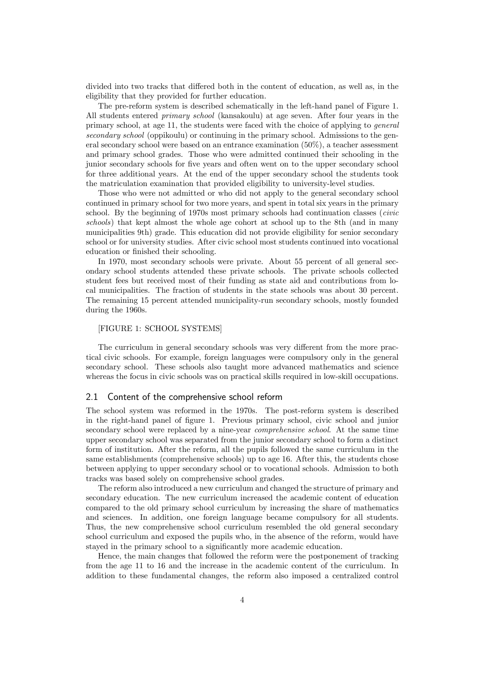divided into two tracks that differed both in the content of education, as well as, in the eligibility that they provided for further education.

The pre-reform system is described schematically in the left-hand panel of Figure 1. All students entered primary school (kansakoulu) at age seven. After four years in the primary school, at age 11, the students were faced with the choice of applying to general secondary school (oppikoulu) or continuing in the primary school. Admissions to the general secondary school were based on an entrance examination (50%), a teacher assessment and primary school grades. Those who were admitted continued their schooling in the junior secondary schools for five years and often went on to the upper secondary school for three additional years. At the end of the upper secondary school the students took the matriculation examination that provided eligibility to university-level studies.

Those who were not admitted or who did not apply to the general secondary school continued in primary school for two more years, and spent in total six years in the primary school. By the beginning of 1970s most primary schools had continuation classes (civic schools) that kept almost the whole age cohort at school up to the 8th (and in many municipalities 9th) grade. This education did not provide eligibility for senior secondary school or for university studies. After civic school most students continued into vocational education or finished their schooling.

In 1970, most secondary schools were private. About 55 percent of all general secondary school students attended these private schools. The private schools collected student fees but received most of their funding as state aid and contributions from local municipalities. The fraction of students in the state schools was about 30 percent. The remaining 15 percent attended municipality-run secondary schools, mostly founded during the 1960s.

### [FIGURE 1: SCHOOL SYSTEMS]

The curriculum in general secondary schools was very different from the more practical civic schools. For example, foreign languages were compulsory only in the general secondary school. These schools also taught more advanced mathematics and science whereas the focus in civic schools was on practical skills required in low-skill occupations.

### 2.1 Content of the comprehensive school reform

The school system was reformed in the 1970s. The post-reform system is described in the right-hand panel of figure 1. Previous primary school, civic school and junior secondary school were replaced by a nine-year comprehensive school. At the same time upper secondary school was separated from the junior secondary school to form a distinct form of institution. After the reform, all the pupils followed the same curriculum in the same establishments (comprehensive schools) up to age 16. After this, the students chose between applying to upper secondary school or to vocational schools. Admission to both tracks was based solely on comprehensive school grades.

The reform also introduced a new curriculum and changed the structure of primary and secondary education. The new curriculum increased the academic content of education compared to the old primary school curriculum by increasing the share of mathematics and sciences. In addition, one foreign language became compulsory for all students. Thus, the new comprehensive school curriculum resembled the old general secondary school curriculum and exposed the pupils who, in the absence of the reform, would have stayed in the primary school to a significantly more academic education.

Hence, the main changes that followed the reform were the postponement of tracking from the age 11 to 16 and the increase in the academic content of the curriculum. In addition to these fundamental changes, the reform also imposed a centralized control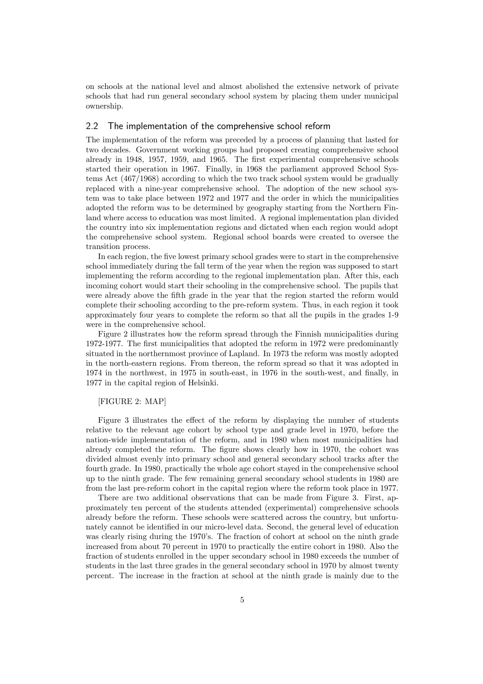on schools at the national level and almost abolished the extensive network of private schools that had run general secondary school system by placing them under municipal ownership.

### 2.2 The implementation of the comprehensive school reform

The implementation of the reform was preceded by a process of planning that lasted for two decades. Government working groups had proposed creating comprehensive school already in 1948, 1957, 1959, and 1965. The first experimental comprehensive schools started their operation in 1967. Finally, in 1968 the parliament approved School Systems Act (467/1968) according to which the two track school system would be gradually replaced with a nine-year comprehensive school. The adoption of the new school system was to take place between 1972 and 1977 and the order in which the municipalities adopted the reform was to be determined by geography starting from the Northern Finland where access to education was most limited. A regional implementation plan divided the country into six implementation regions and dictated when each region would adopt the comprehensive school system. Regional school boards were created to oversee the transition process.

In each region, the five lowest primary school grades were to start in the comprehensive school immediately during the fall term of the year when the region was supposed to start implementing the reform according to the regional implementation plan. After this, each incoming cohort would start their schooling in the comprehensive school. The pupils that were already above the fifth grade in the year that the region started the reform would complete their schooling according to the pre-reform system. Thus, in each region it took approximately four years to complete the reform so that all the pupils in the grades 1-9 were in the comprehensive school.

Figure 2 illustrates how the reform spread through the Finnish municipalities during 1972-1977. The first municipalities that adopted the reform in 1972 were predominantly situated in the northernmost province of Lapland. In 1973 the reform was mostly adopted in the north-eastern regions. From thereon, the reform spread so that it was adopted in 1974 in the northwest, in 1975 in south-east, in 1976 in the south-west, and finally, in 1977 in the capital region of Helsinki.

#### [FIGURE 2: MAP]

Figure 3 illustrates the effect of the reform by displaying the number of students relative to the relevant age cohort by school type and grade level in 1970, before the nation-wide implementation of the reform, and in 1980 when most municipalities had already completed the reform. The figure shows clearly how in 1970, the cohort was divided almost evenly into primary school and general secondary school tracks after the fourth grade. In 1980, practically the whole age cohort stayed in the comprehensive school up to the ninth grade. The few remaining general secondary school students in 1980 are from the last pre-reform cohort in the capital region where the reform took place in 1977.

There are two additional observations that can be made from Figure 3. First, approximately ten percent of the students attended (experimental) comprehensive schools already before the reform. These schools were scattered across the country, but unfortunately cannot be identified in our micro-level data. Second, the general level of education was clearly rising during the 1970's. The fraction of cohort at school on the ninth grade increased from about 70 percent in 1970 to practically the entire cohort in 1980. Also the fraction of students enrolled in the upper secondary school in 1980 exceeds the number of students in the last three grades in the general secondary school in 1970 by almost twenty percent. The increase in the fraction at school at the ninth grade is mainly due to the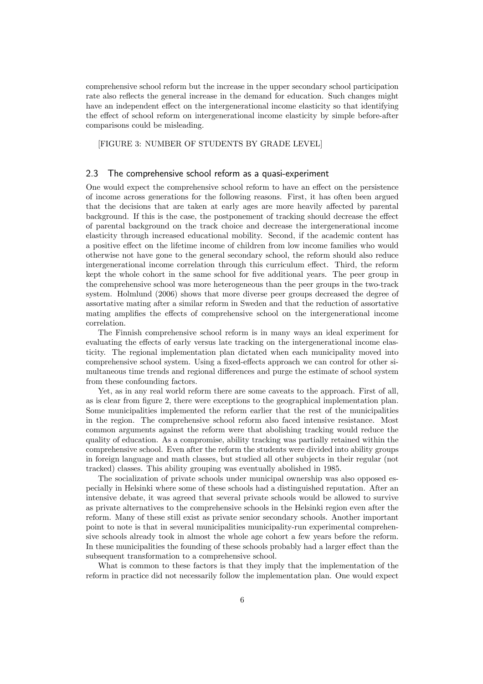comprehensive school reform but the increase in the upper secondary school participation rate also reflects the general increase in the demand for education. Such changes might have an independent effect on the intergenerational income elasticity so that identifying the effect of school reform on intergenerational income elasticity by simple before-after comparisons could be misleading.

[FIGURE 3: NUMBER OF STUDENTS BY GRADE LEVEL]

### 2.3 The comprehensive school reform as a quasi-experiment

One would expect the comprehensive school reform to have an effect on the persistence of income across generations for the following reasons. First, it has often been argued that the decisions that are taken at early ages are more heavily affected by parental background. If this is the case, the postponement of tracking should decrease the effect of parental background on the track choice and decrease the intergenerational income elasticity through increased educational mobility. Second, if the academic content has a positive effect on the lifetime income of children from low income families who would otherwise not have gone to the general secondary school, the reform should also reduce intergenerational income correlation through this curriculum effect. Third, the reform kept the whole cohort in the same school for five additional years. The peer group in the comprehensive school was more heterogeneous than the peer groups in the two-track system. Holmlund (2006) shows that more diverse peer groups decreased the degree of assortative mating after a similar reform in Sweden and that the reduction of assortative mating amplifies the effects of comprehensive school on the intergenerational income correlation.

The Finnish comprehensive school reform is in many ways an ideal experiment for evaluating the effects of early versus late tracking on the intergenerational income elasticity. The regional implementation plan dictated when each municipality moved into comprehensive school system. Using a fixed-effects approach we can control for other simultaneous time trends and regional differences and purge the estimate of school system from these confounding factors.

Yet, as in any real world reform there are some caveats to the approach. First of all, as is clear from figure 2, there were exceptions to the geographical implementation plan. Some municipalities implemented the reform earlier that the rest of the municipalities in the region. The comprehensive school reform also faced intensive resistance. Most common arguments against the reform were that abolishing tracking would reduce the quality of education. As a compromise, ability tracking was partially retained within the comprehensive school. Even after the reform the students were divided into ability groups in foreign language and math classes, but studied all other subjects in their regular (not tracked) classes. This ability grouping was eventually abolished in 1985.

The socialization of private schools under municipal ownership was also opposed especially in Helsinki where some of these schools had a distinguished reputation. After an intensive debate, it was agreed that several private schools would be allowed to survive as private alternatives to the comprehensive schools in the Helsinki region even after the reform. Many of these still exist as private senior secondary schools. Another important point to note is that in several municipalities municipality-run experimental comprehensive schools already took in almost the whole age cohort a few years before the reform. In these municipalities the founding of these schools probably had a larger effect than the subsequent transformation to a comprehensive school.

What is common to these factors is that they imply that the implementation of the reform in practice did not necessarily follow the implementation plan. One would expect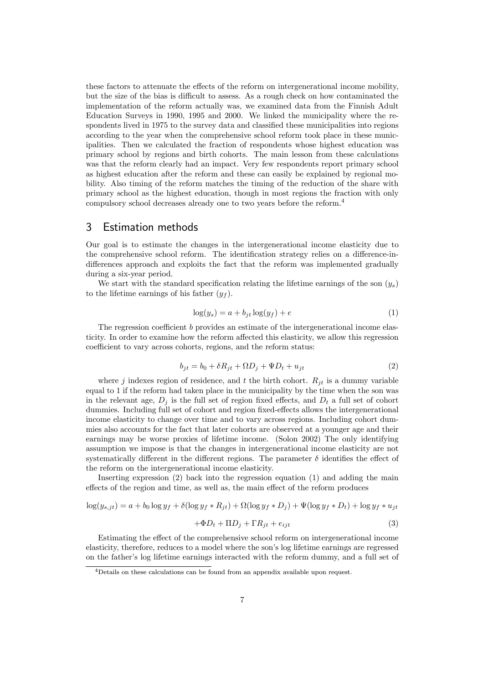these factors to attenuate the effects of the reform on intergenerational income mobility, but the size of the bias is difficult to assess. As a rough check on how contaminated the implementation of the reform actually was, we examined data from the Finnish Adult Education Surveys in 1990, 1995 and 2000. We linked the municipality where the respondents lived in 1975 to the survey data and classified these municipalities into regions according to the year when the comprehensive school reform took place in these municipalities. Then we calculated the fraction of respondents whose highest education was primary school by regions and birth cohorts. The main lesson from these calculations was that the reform clearly had an impact. Very few respondents report primary school as highest education after the reform and these can easily be explained by regional mobility. Also timing of the reform matches the timing of the reduction of the share with primary school as the highest education, though in most regions the fraction with only compulsory school decreases already one to two years before the reform.<sup>4</sup>

### 3 Estimation methods

Our goal is to estimate the changes in the intergenerational income elasticity due to the comprehensive school reform. The identification strategy relies on a difference-indifferences approach and exploits the fact that the reform was implemented gradually during a six-year period.

We start with the standard specification relating the lifetime earnings of the son  $(y_s)$ to the lifetime earnings of his father  $(y_f)$ .

$$
\log(y_s) = a + b_{jt} \log(y_f) + e \tag{1}
$$

The regression coefficient b provides an estimate of the intergenerational income elasticity. In order to examine how the reform affected this elasticity, we allow this regression coefficient to vary across cohorts, regions, and the reform status:

$$
b_{jt} = b_0 + \delta R_{jt} + \Omega D_j + \Psi D_t + u_{jt}
$$
\n<sup>(2)</sup>

where j indexes region of residence, and t the birth cohort.  $R_{it}$  is a dummy variable equal to 1 if the reform had taken place in the municipality by the time when the son was in the relevant age,  $D_i$  is the full set of region fixed effects, and  $D_t$  a full set of cohort dummies. Including full set of cohort and region fixed-effects allows the intergenerational income elasticity to change over time and to vary across regions. Including cohort dummies also accounts for the fact that later cohorts are observed at a younger age and their earnings may be worse proxies of lifetime income. (Solon 2002) The only identifying assumption we impose is that the changes in intergenerational income elasticity are not systematically different in the different regions. The parameter  $\delta$  identifies the effect of the reform on the intergenerational income elasticity.

Inserting expression (2) back into the regression equation (1) and adding the main effects of the region and time, as well as, the main effect of the reform produces

$$
\log(y_{s,jt}) = a + b_0 \log y_f + \delta(\log y_f * R_{jt}) + \Omega(\log y_f * D_j) + \Psi(\log y_f * D_t) + \log y_f * u_{jt}
$$
  
+ 
$$
\Phi D_t + \Pi D_j + \Gamma R_{jt} + e_{ijt}
$$
 (3)

Estimating the effect of the comprehensive school reform on intergenerational income elasticity, therefore, reduces to a model where the son's log lifetime earnings are regressed on the father's log lifetime earnings interacted with the reform dummy, and a full set of

<sup>&</sup>lt;sup>4</sup>Details on these calculations can be found from an appendix available upon request.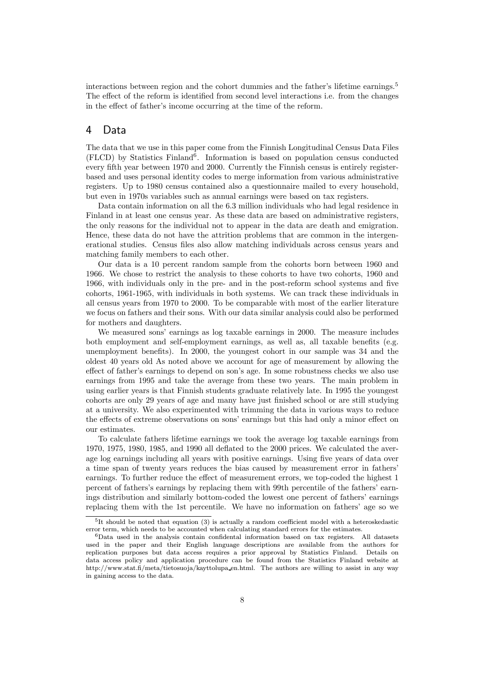interactions between region and the cohort dummies and the father's lifetime earnings.<sup>5</sup> The effect of the reform is identified from second level interactions i.e. from the changes in the effect of father's income occurring at the time of the reform.

### 4 Data

The data that we use in this paper come from the Finnish Longitudinal Census Data Files  $(FLCD)$  by Statistics Finland<sup>6</sup>. Information is based on population census conducted every fifth year between 1970 and 2000. Currently the Finnish census is entirely registerbased and uses personal identity codes to merge information from various administrative registers. Up to 1980 census contained also a questionnaire mailed to every household, but even in 1970s variables such as annual earnings were based on tax registers.

Data contain information on all the 6.3 million individuals who had legal residence in Finland in at least one census year. As these data are based on administrative registers, the only reasons for the individual not to appear in the data are death and emigration. Hence, these data do not have the attrition problems that are common in the intergenerational studies. Census files also allow matching individuals across census years and matching family members to each other.

Our data is a 10 percent random sample from the cohorts born between 1960 and 1966. We chose to restrict the analysis to these cohorts to have two cohorts, 1960 and 1966, with individuals only in the pre- and in the post-reform school systems and five cohorts, 1961-1965, with individuals in both systems. We can track these individuals in all census years from 1970 to 2000. To be comparable with most of the earlier literature we focus on fathers and their sons. With our data similar analysis could also be performed for mothers and daughters.

We measured sons' earnings as log taxable earnings in 2000. The measure includes both employment and self-employment earnings, as well as, all taxable benefits (e.g. unemployment benefits). In 2000, the youngest cohort in our sample was 34 and the oldest 40 years old As noted above we account for age of measurement by allowing the effect of father's earnings to depend on son's age. In some robustness checks we also use earnings from 1995 and take the average from these two years. The main problem in using earlier years is that Finnish students graduate relatively late. In 1995 the youngest cohorts are only 29 years of age and many have just finished school or are still studying at a university. We also experimented with trimming the data in various ways to reduce the effects of extreme observations on sons' earnings but this had only a minor effect on our estimates.

To calculate fathers lifetime earnings we took the average log taxable earnings from 1970, 1975, 1980, 1985, and 1990 all deflated to the 2000 prices. We calculated the average log earnings including all years with positive earnings. Using five years of data over a time span of twenty years reduces the bias caused by measurement error in fathers' earnings. To further reduce the effect of measurement errors, we top-coded the highest 1 percent of fathers's earnings by replacing them with 99th percentile of the fathers' earnings distribution and similarly bottom-coded the lowest one percent of fathers' earnings replacing them with the 1st percentile. We have no information on fathers' age so we

 $5$ It should be noted that equation (3) is actually a random coefficient model with a heteroskedastic error term, which needs to be accounted when calculating standard errors for the estimates.

<sup>6</sup>Data used in the analysis contain confidental information based on tax registers. All datasets used in the paper and their English language descriptions are available from the authors for replication purposes but data access requires a prior approval by Statistics Finland. Details on data access policy and application procedure can be found from the Statistics Finland website at http://www.stat.fi/meta/tietosuoja/kayttolupa en.html. The authors are willing to assist in any way in gaining access to the data.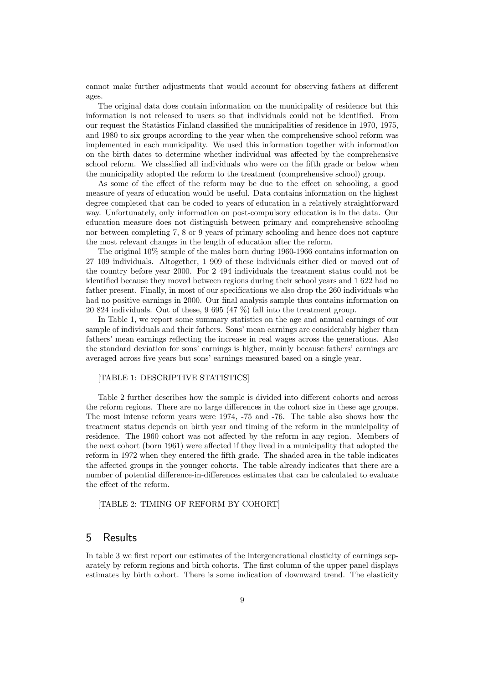cannot make further adjustments that would account for observing fathers at different ages.

The original data does contain information on the municipality of residence but this information is not released to users so that individuals could not be identified. From our request the Statistics Finland classified the municipalities of residence in 1970, 1975, and 1980 to six groups according to the year when the comprehensive school reform was implemented in each municipality. We used this information together with information on the birth dates to determine whether individual was affected by the comprehensive school reform. We classified all individuals who were on the fifth grade or below when the municipality adopted the reform to the treatment (comprehensive school) group.

As some of the effect of the reform may be due to the effect on schooling, a good measure of years of education would be useful. Data contains information on the highest degree completed that can be coded to years of education in a relatively straightforward way. Unfortunately, only information on post-compulsory education is in the data. Our education measure does not distinguish between primary and comprehensive schooling nor between completing 7, 8 or 9 years of primary schooling and hence does not capture the most relevant changes in the length of education after the reform.

The original 10% sample of the males born during 1960-1966 contains information on 27 109 individuals. Altogether, 1 909 of these individuals either died or moved out of the country before year 2000. For 2 494 individuals the treatment status could not be identified because they moved between regions during their school years and 1 622 had no father present. Finally, in most of our specifications we also drop the 260 individuals who had no positive earnings in 2000. Our final analysis sample thus contains information on 20 824 individuals. Out of these, 9 695 (47 %) fall into the treatment group.

In Table 1, we report some summary statistics on the age and annual earnings of our sample of individuals and their fathers. Sons' mean earnings are considerably higher than fathers' mean earnings reflecting the increase in real wages across the generations. Also the standard deviation for sons' earnings is higher, mainly because fathers' earnings are averaged across five years but sons' earnings measured based on a single year.

### [TABLE 1: DESCRIPTIVE STATISTICS]

Table 2 further describes how the sample is divided into different cohorts and across the reform regions. There are no large differences in the cohort size in these age groups. The most intense reform years were 1974, -75 and -76. The table also shows how the treatment status depends on birth year and timing of the reform in the municipality of residence. The 1960 cohort was not affected by the reform in any region. Members of the next cohort (born 1961) were affected if they lived in a municipality that adopted the reform in 1972 when they entered the fifth grade. The shaded area in the table indicates the affected groups in the younger cohorts. The table already indicates that there are a number of potential difference-in-differences estimates that can be calculated to evaluate the effect of the reform.

### [TABLE 2: TIMING OF REFORM BY COHORT]

### 5 Results

In table 3 we first report our estimates of the intergenerational elasticity of earnings separately by reform regions and birth cohorts. The first column of the upper panel displays estimates by birth cohort. There is some indication of downward trend. The elasticity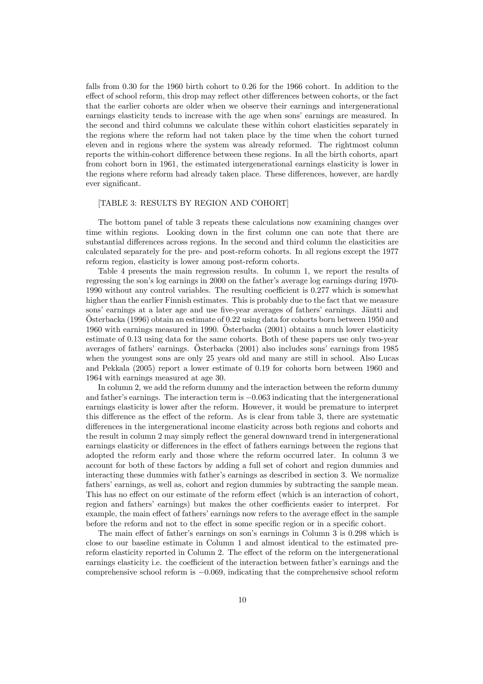falls from 0.30 for the 1960 birth cohort to 0.26 for the 1966 cohort. In addition to the effect of school reform, this drop may reflect other differences between cohorts, or the fact that the earlier cohorts are older when we observe their earnings and intergenerational earnings elasticity tends to increase with the age when sons' earnings are measured. In the second and third columns we calculate these within cohort elasticities separately in the regions where the reform had not taken place by the time when the cohort turned eleven and in regions where the system was already reformed. The rightmost column reports the within-cohort difference between these regions. In all the birth cohorts, apart from cohort born in 1961, the estimated intergenerational earnings elasticity is lower in the regions where reform had already taken place. These differences, however, are hardly ever significant.

### [TABLE 3: RESULTS BY REGION AND COHORT]

The bottom panel of table 3 repeats these calculations now examining changes over time within regions. Looking down in the first column one can note that there are substantial differences across regions. In the second and third column the elasticities are calculated separately for the pre- and post-reform cohorts. In all regions except the 1977 reform region, elasticity is lower among post-reform cohorts.

Table 4 presents the main regression results. In column 1, we report the results of regressing the son's log earnings in 2000 on the father's average log earnings during 1970- 1990 without any control variables. The resulting coefficient is 0.277 which is somewhat higher than the earlier Finnish estimates. This is probably due to the fact that we measure sons' earnings at a later age and use five-year averages of fathers' earnings. Jäntti and  $\overline{\text{O}}$ sterbacka (1996) obtain an estimate of 0.22 using data for cohorts born between 1950 and 1960 with earnings measured in 1990. Osterbacka (2001) obtains a much lower elasticity ¨ estimate of 0.13 using data for the same cohorts. Both of these papers use only two-year averages of fathers' earnings. Osterbacka (2001) also includes sons' earnings from 1985 when the youngest sons are only 25 years old and many are still in school. Also Lucas and Pekkala (2005) report a lower estimate of 0.19 for cohorts born between 1960 and 1964 with earnings measured at age 30.

In column 2, we add the reform dummy and the interaction between the reform dummy and father's earnings. The interaction term is −0.063 indicating that the intergenerational earnings elasticity is lower after the reform. However, it would be premature to interpret this difference as the effect of the reform. As is clear from table 3, there are systematic differences in the intergenerational income elasticity across both regions and cohorts and the result in column 2 may simply reflect the general downward trend in intergenerational earnings elasticity or differences in the effect of fathers earnings between the regions that adopted the reform early and those where the reform occurred later. In column 3 we account for both of these factors by adding a full set of cohort and region dummies and interacting these dummies with father's earnings as described in section 3. We normalize fathers' earnings, as well as, cohort and region dummies by subtracting the sample mean. This has no effect on our estimate of the reform effect (which is an interaction of cohort, region and fathers' earnings) but makes the other coefficients easier to interpret. For example, the main effect of fathers' earnings now refers to the average effect in the sample before the reform and not to the effect in some specific region or in a specific cohort.

The main effect of father's earnings on son's earnings in Column 3 is 0.298 which is close to our baseline estimate in Column 1 and almost identical to the estimated prereform elasticity reported in Column 2. The effect of the reform on the intergenerational earnings elasticity i.e. the coefficient of the interaction between father's earnings and the comprehensive school reform is −0.069, indicating that the comprehensive school reform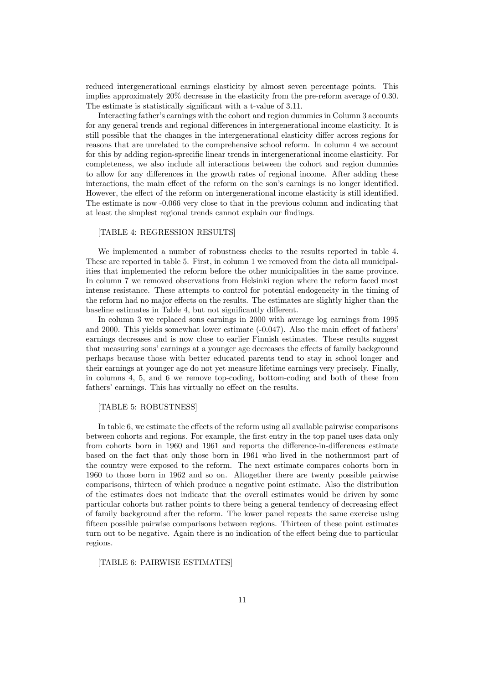reduced intergenerational earnings elasticity by almost seven percentage points. This implies approximately 20% decrease in the elasticity from the pre-reform average of 0.30. The estimate is statistically significant with a t-value of 3.11.

Interacting father's earnings with the cohort and region dummies in Column 3 accounts for any general trends and regional differences in intergenerational income elasticity. It is still possible that the changes in the intergenerational elasticity differ across regions for reasons that are unrelated to the comprehensive school reform. In column 4 we account for this by adding region-sprecific linear trends in intergenerational income elasticity. For completeness, we also include all interactions between the cohort and region dummies to allow for any differences in the growth rates of regional income. After adding these interactions, the main effect of the reform on the son's earnings is no longer identified. However, the effect of the reform on intergenerational income elasticity is still identified. The estimate is now -0.066 very close to that in the previous column and indicating that at least the simplest regional trends cannot explain our findings.

#### [TABLE 4: REGRESSION RESULTS]

We implemented a number of robustness checks to the results reported in table 4. These are reported in table 5. First, in column 1 we removed from the data all municipalities that implemented the reform before the other municipalities in the same province. In column 7 we removed observations from Helsinki region where the reform faced most intense resistance. These attempts to control for potential endogeneity in the timing of the reform had no major effects on the results. The estimates are slightly higher than the baseline estimates in Table 4, but not significantly different.

In column 3 we replaced sons earnings in 2000 with average log earnings from 1995 and 2000. This yields somewhat lower estimate (-0.047). Also the main effect of fathers' earnings decreases and is now close to earlier Finnish estimates. These results suggest that measuring sons' earnings at a younger age decreases the effects of family background perhaps because those with better educated parents tend to stay in school longer and their earnings at younger age do not yet measure lifetime earnings very precisely. Finally, in columns 4, 5, and 6 we remove top-coding, bottom-coding and both of these from fathers' earnings. This has virtually no effect on the results.

#### [TABLE 5: ROBUSTNESS]

In table 6, we estimate the effects of the reform using all available pairwise comparisons between cohorts and regions. For example, the first entry in the top panel uses data only from cohorts born in 1960 and 1961 and reports the difference-in-differences estimate based on the fact that only those born in 1961 who lived in the nothernmost part of the country were exposed to the reform. The next estimate compares cohorts born in 1960 to those born in 1962 and so on. Altogether there are twenty possible pairwise comparisons, thirteen of which produce a negative point estimate. Also the distribution of the estimates does not indicate that the overall estimates would be driven by some particular cohorts but rather points to there being a general tendency of decreasing effect of family background after the reform. The lower panel repeats the same exercise using fifteen possible pairwise comparisons between regions. Thirteen of these point estimates turn out to be negative. Again there is no indication of the effect being due to particular regions.

[TABLE 6: PAIRWISE ESTIMATES]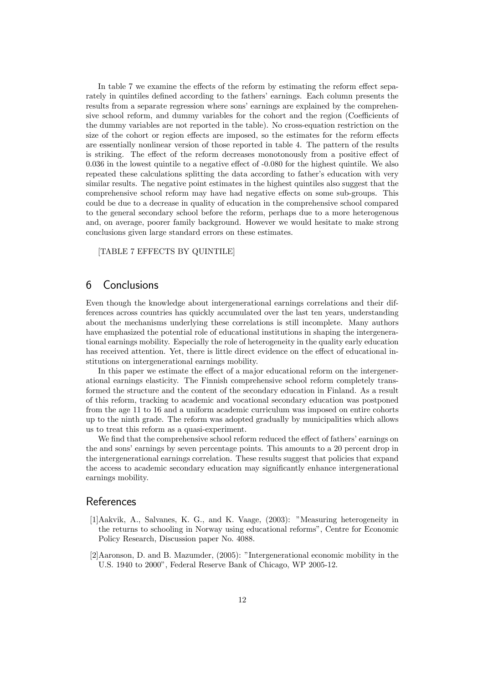In table 7 we examine the effects of the reform by estimating the reform effect separately in quintiles defined according to the fathers' earnings. Each column presents the results from a separate regression where sons' earnings are explained by the comprehensive school reform, and dummy variables for the cohort and the region (Coefficients of the dummy variables are not reported in the table). No cross-equation restriction on the size of the cohort or region effects are imposed, so the estimates for the reform effects are essentially nonlinear version of those reported in table 4. The pattern of the results is striking. The effect of the reform decreases monotonously from a positive effect of 0.036 in the lowest quintile to a negative effect of -0.080 for the highest quintile. We also repeated these calculations splitting the data according to father's education with very similar results. The negative point estimates in the highest quintiles also suggest that the comprehensive school reform may have had negative effects on some sub-groups. This could be due to a decrease in quality of education in the comprehensive school compared to the general secondary school before the reform, perhaps due to a more heterogenous and, on average, poorer family background. However we would hesitate to make strong conclusions given large standard errors on these estimates.

[TABLE 7 EFFECTS BY QUINTILE]

# 6 Conclusions

Even though the knowledge about intergenerational earnings correlations and their differences across countries has quickly accumulated over the last ten years, understanding about the mechanisms underlying these correlations is still incomplete. Many authors have emphasized the potential role of educational institutions in shaping the intergenerational earnings mobility. Especially the role of heterogeneity in the quality early education has received attention. Yet, there is little direct evidence on the effect of educational institutions on intergenerational earnings mobility.

In this paper we estimate the effect of a major educational reform on the intergenerational earnings elasticity. The Finnish comprehensive school reform completely transformed the structure and the content of the secondary education in Finland. As a result of this reform, tracking to academic and vocational secondary education was postponed from the age 11 to 16 and a uniform academic curriculum was imposed on entire cohorts up to the ninth grade. The reform was adopted gradually by municipalities which allows us to treat this reform as a quasi-experiment.

We find that the comprehensive school reform reduced the effect of fathers' earnings on the and sons' earnings by seven percentage points. This amounts to a 20 percent drop in the intergenerational earnings correlation. These results suggest that policies that expand the access to academic secondary education may significantly enhance intergenerational earnings mobility.

### References

- [1]Aakvik, A., Salvanes, K. G., and K. Vaage, (2003): "Measuring heterogeneity in the returns to schooling in Norway using educational reforms", Centre for Economic Policy Research, Discussion paper No. 4088.
- [2]Aaronson, D. and B. Mazumder, (2005): "Intergenerational economic mobility in the U.S. 1940 to 2000", Federal Reserve Bank of Chicago, WP 2005-12.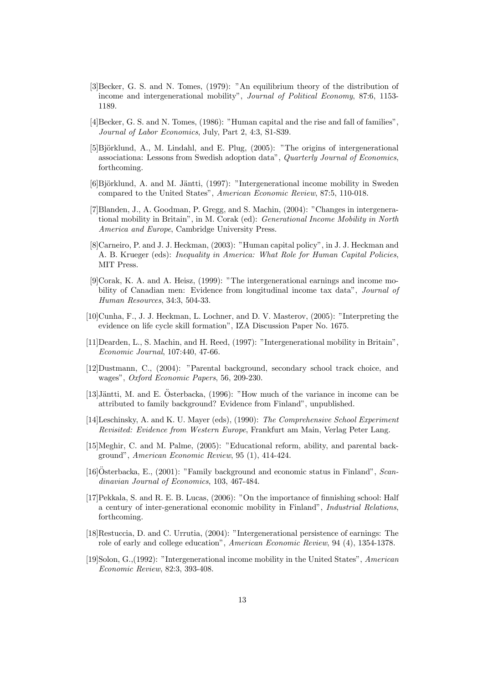- [3]Becker, G. S. and N. Tomes, (1979): "An equilibrium theory of the distribution of income and intergenerational mobility", Journal of Political Economy, 87:6, 1153- 1189.
- [4]Becker, G. S. and N. Tomes, (1986): "Human capital and the rise and fall of families", Journal of Labor Economics, July, Part 2, 4:3, S1-S39.
- $[5]$ Björklund, A., M. Lindahl, and E. Plug,  $(2005)$ : "The origins of intergenerational associationa: Lessons from Swedish adoption data", Quarterly Journal of Economics, forthcoming.
- $[6]$ Björklund, A. and M. Jäntti, (1997): "Intergenerational income mobility in Sweden compared to the United States", American Economic Review, 87:5, 110-018.
- [7]Blanden, J., A. Goodman, P. Gregg, and S. Machin, (2004): "Changes in intergenerational mobility in Britain", in M. Corak (ed): Generational Income Mobility in North America and Europe, Cambridge University Press.
- [8]Carneiro, P. and J. J. Heckman, (2003): "Human capital policy", in J. J. Heckman and A. B. Krueger (eds): Inequality in America: What Role for Human Capital Policies, MIT Press.
- [9]Corak, K. A. and A. Heisz, (1999): "The intergenerational earnings and income mobility of Canadian men: Evidence from longitudinal income tax data", Journal of Human Resources, 34:3, 504-33.
- [10]Cunha, F., J. J. Heckman, L. Lochner, and D. V. Masterov, (2005): "Interpreting the evidence on life cycle skill formation", IZA Discussion Paper No. 1675.
- [11]Dearden, L., S. Machin, and H. Reed, (1997): "Intergenerational mobility in Britain", Economic Journal, 107:440, 47-66.
- [12]Dustmann, C., (2004): "Parental background, secondary school track choice, and wages", Oxford Economic Papers, 56, 209-230.
- [13] Jäntti, M. and E. Österbacka,  $(1996)$ : "How much of the variance in income can be attributed to family background? Evidence from Finland", unpublished.
- [14]Leschinsky, A. and K. U. Mayer (eds), (1990): The Comprehensive School Experiment Revisited: Evidence from Western Europe, Frankfurt am Main, Verlag Peter Lang.
- [15]Meghir, C. and M. Palme, (2005): "Educational reform, ability, and parental background", American Economic Review, 95 (1), 414-424.
- [16] $Osterbacka, E., (2001):$  "Family background and economic status in Finland", *Scan*dinavian Journal of Economics, 103, 467-484.
- [17]Pekkala, S. and R. E. B. Lucas, (2006): "On the importance of finnishing school: Half a century of inter-generational economic mobility in Finland", Industrial Relations, forthcoming.
- [18]Restuccia, D. and C. Urrutia, (2004): "Intergenerational persistence of earnings: The role of early and college education", American Economic Review, 94 (4), 1354-1378.
- [19]Solon, G.,(1992): "Intergenerational income mobility in the United States", American Economic Review, 82:3, 393-408.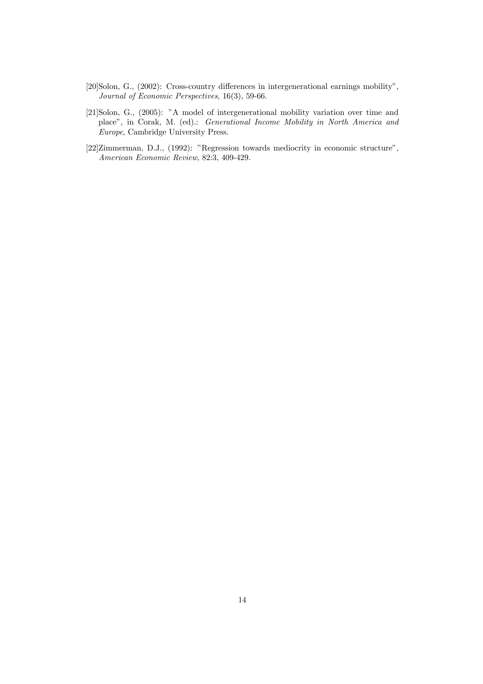- [20]Solon, G., (2002): Cross-country differences in intergenerational earnings mobility", Journal of Economic Perspectives, 16(3), 59-66.
- [21]Solon, G., (2005): "A model of intergenerational mobility variation over time and place", in Corak, M. (ed).: Generational Income Mobility in North America and Europe, Cambridge University Press.
- [22]Zimmerman, D.J., (1992): "Regression towards mediocrity in economic structure", American Economic Review, 82:3, 409-429.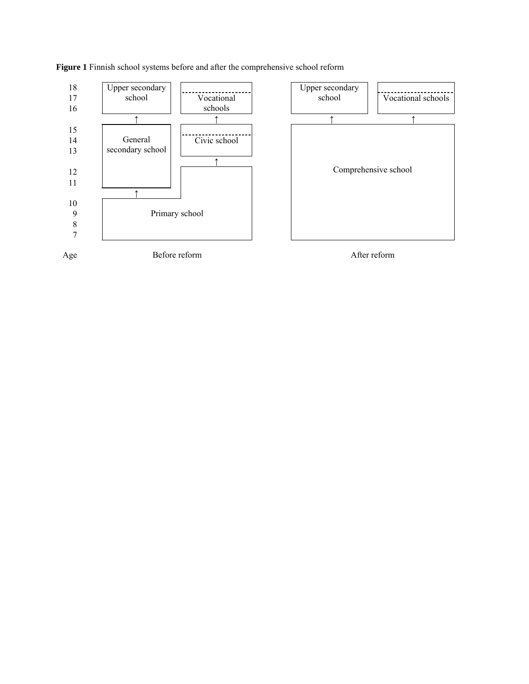

**Figure 1** Finnish school systems before and after the comprehensive school reform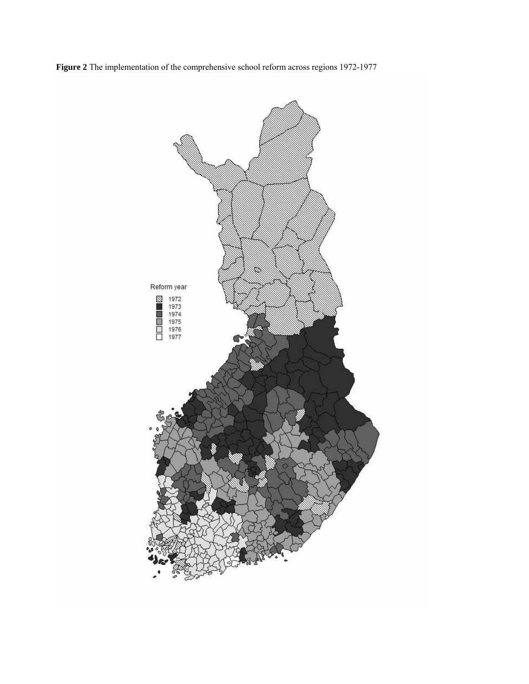

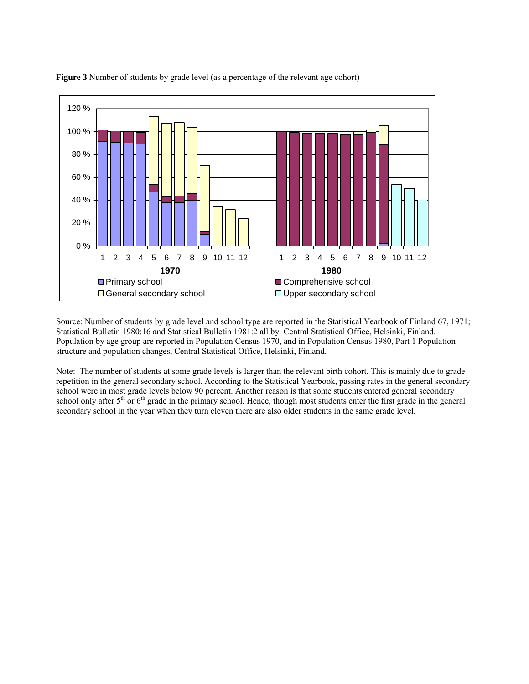

**Figure 3** Number of students by grade level (as a percentage of the relevant age cohort)

Source: Number of students by grade level and school type are reported in the Statistical Yearbook of Finland 67, 1971; Statistical Bulletin 1980:16 and Statistical Bulletin 1981:2 all by Central Statistical Office, Helsinki, Finland. Population by age group are reported in Population Census 1970, and in Population Census 1980, Part 1 Population structure and population changes, Central Statistical Office, Helsinki, Finland.

Note: The number of students at some grade levels is larger than the relevant birth cohort. This is mainly due to grade repetition in the general secondary school. According to the Statistical Yearbook, passing rates in the general secondary school were in most grade levels below 90 percent. Another reason is that some students entered general secondary school only after  $5<sup>th</sup>$  or  $6<sup>th</sup>$  grade in the primary school. Hence, though most students enter the first grade in the general secondary school in the year when they turn eleven there are also older students in the same grade level.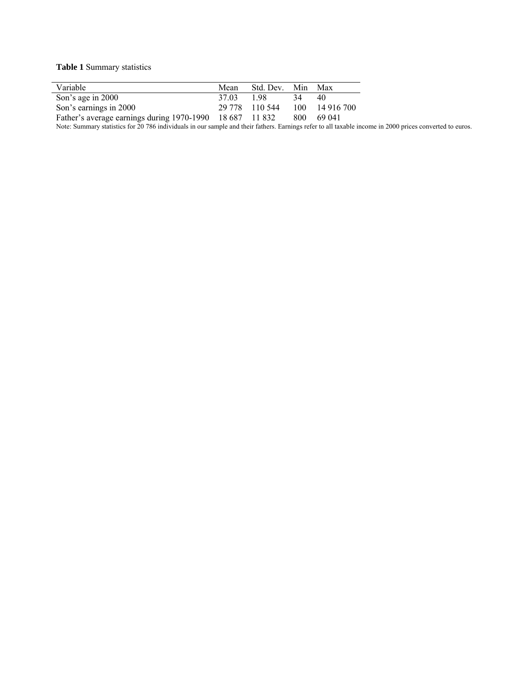**Table 1** Summary statistics

| Variable                                                 | Mean  | Std. Dev.      | Min | Max        |
|----------------------------------------------------------|-------|----------------|-----|------------|
| Son's age in 2000                                        | 37.03 | 198            | 34  | 40         |
| Son's earnings in 2000                                   |       | 29 778 110 544 | 100 | 14 916 700 |
| Father's average earnings during 1970-1990 18 687 11 832 |       |                | 800 | 69.041     |
|                                                          |       |                |     |            |

Note: Summary statistics for 20 786 individuals in our sample and their fathers. Earnings refer to all taxable income in 2000 prices converted to euros.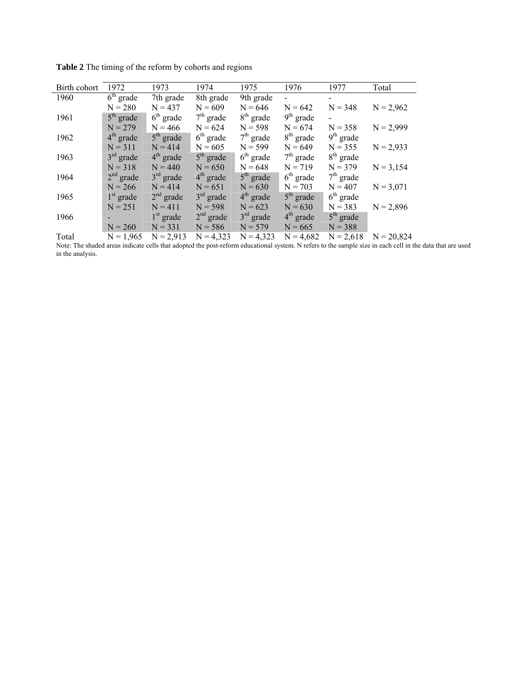| Birth cohort | 1972        | 1973        | 1974        | 1975        | 1976        | 1977        | Total        |
|--------------|-------------|-------------|-------------|-------------|-------------|-------------|--------------|
| 1960         | $6th$ grade | 7th grade   | 8th grade   | 9th grade   |             |             |              |
|              | $N = 280$   | $N = 437$   | $N = 609$   | $N = 646$   | $N = 642$   | $N = 348$   | $N = 2,962$  |
| 1961         | $5th$ grade | $6th$ grade | $7th$ grade | $8th$ grade | $9th$ grade |             |              |
|              | $N = 279$   | $N = 466$   | $N = 624$   | $N = 598$   | $N = 674$   | $N = 358$   | $N = 2,999$  |
| 1962         | $4th$ grade | $5th$ grade | $6th$ grade | $7th$ grade | $8th$ grade | $9th$ grade |              |
|              | $N = 311$   | $N = 414$   | $N = 605$   | $N = 599$   | $N = 649$   | $N = 355$   | $N = 2,933$  |
| 1963         | $3rd$ grade | $4th$ grade | $5th$ grade | $6th$ grade | $7th$ grade | $8th$ grade |              |
|              | $N = 318$   | $N = 440$   | $N = 650$   | $N = 648$   | $N = 719$   | $N = 379$   | $N = 3,154$  |
| 1964         | $2nd$ grade | $3rd$ grade | $4th$ grade | $5th$ grade | $6th$ grade | $7th$ grade |              |
|              | $N = 266$   | $N = 414$   | $N = 651$   | $N = 630$   | $N = 703$   | $N = 407$   | $N = 3,071$  |
| 1965         | $1st$ grade | $2nd$ grade | $3rd$ grade | $4th$ grade | $5th$ grade | $6th$ grade |              |
|              | $N = 251$   | $N = 411$   | $N = 598$   | $N = 623$   | $N = 630$   | $N = 383$   | $N = 2,896$  |
| 1966         |             | $1st$ grade | $2nd$ grade | $3rd$ grade | $4th$ grade | $5th$ grade |              |
|              | $N = 260$   | $N = 331$   | $N = 586$   | $N = 579$   | $N = 665$   | $N = 388$   |              |
| Total        | $N = 1,965$ | $N = 2,913$ | $N = 4,323$ | $N = 4,323$ | $N = 4,682$ | $N = 2,618$ | $N = 20,824$ |

**Table 2** The timing of the reform by cohorts and regions

Note: The shaded areas indicate cells that adopted the post-reform educational system. N refers to the sample size in each cell in the data that are used in the analysis.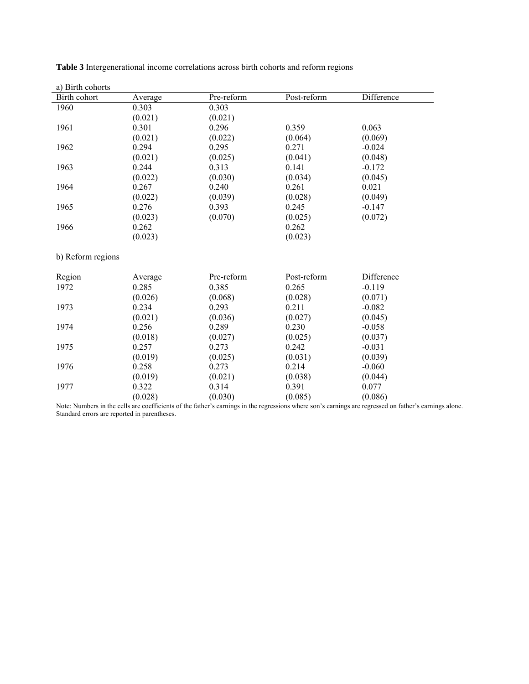| a) Birth cohorts |         |            |             |            |
|------------------|---------|------------|-------------|------------|
| Birth cohort     | Average | Pre-reform | Post-reform | Difference |
| 1960             | 0.303   | 0.303      |             |            |
|                  | (0.021) | (0.021)    |             |            |
| 1961             | 0.301   | 0.296      | 0.359       | 0.063      |
|                  | (0.021) | (0.022)    | (0.064)     | (0.069)    |
| 1962             | 0.294   | 0.295      | 0.271       | $-0.024$   |
|                  | (0.021) | (0.025)    | (0.041)     | (0.048)    |
| 1963             | 0.244   | 0.313      | 0.141       | $-0.172$   |
|                  | (0.022) | (0.030)    | (0.034)     | (0.045)    |
| 1964             | 0.267   | 0.240      | 0.261       | 0.021      |
|                  | (0.022) | (0.039)    | (0.028)     | (0.049)    |
| 1965             | 0.276   | 0.393      | 0.245       | $-0.147$   |
|                  | (0.023) | (0.070)    | (0.025)     | (0.072)    |
| 1966             | 0.262   |            | 0.262       |            |
|                  | (0.023) |            | (0.023)     |            |

**Table 3** Intergenerational income correlations across birth cohorts and reform regions

b) Reform regions

| Region | Average | Pre-reform | Post-reform | Difference |
|--------|---------|------------|-------------|------------|
| 1972   | 0.285   | 0.385      | 0.265       | $-0.119$   |
|        | (0.026) | (0.068)    | (0.028)     | (0.071)    |
| 1973   | 0.234   | 0.293      | 0.211       | $-0.082$   |
|        | (0.021) | (0.036)    | (0.027)     | (0.045)    |
| 1974   | 0.256   | 0.289      | 0.230       | $-0.058$   |
|        | (0.018) | (0.027)    | (0.025)     | (0.037)    |
| 1975   | 0.257   | 0.273      | 0.242       | $-0.031$   |
|        | (0.019) | (0.025)    | (0.031)     | (0.039)    |
| 1976   | 0.258   | 0.273      | 0.214       | $-0.060$   |
|        | (0.019) | (0.021)    | (0.038)     | (0.044)    |
| 1977   | 0.322   | 0.314      | 0.391       | 0.077      |
|        | (0.028) | (0.030)    | (0.085)     | (0.086)    |

Note: Numbers in the cells are coefficients of the father's earnings in the regressions where son's earnings are regressed on father's earnings alone. Standard errors are reported in parentheses.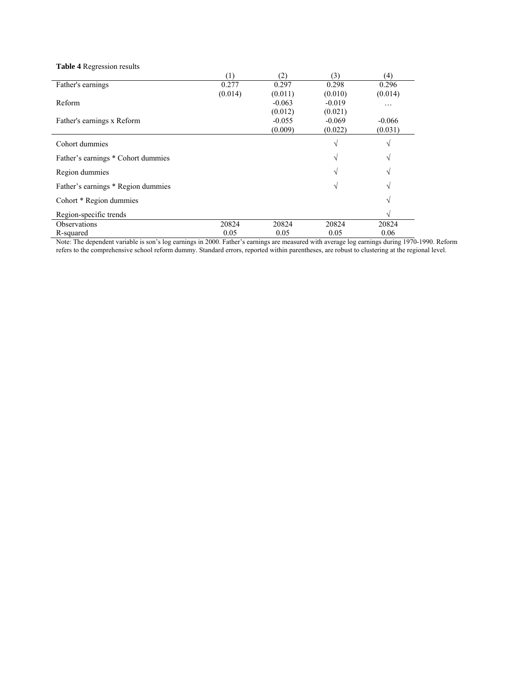| <b>Table 4</b> Regression results  |         |          |          |               |
|------------------------------------|---------|----------|----------|---------------|
|                                    | (1)     | (2)      | (3)      | (4)           |
| Father's earnings                  | 0.277   | 0.297    | 0.298    | 0.296         |
|                                    | (0.014) | (0.011)  | (0.010)  | (0.014)       |
| Reform                             |         | $-0.063$ | $-0.019$ | .             |
|                                    |         | (0.012)  | (0.021)  |               |
| Father's earnings x Reform         |         | $-0.055$ | $-0.069$ | $-0.066$      |
|                                    |         | (0.009)  | (0.022)  | (0.031)       |
| Cohort dummies                     |         |          | V        | $\mathcal{N}$ |
| Father's earnings * Cohort dummies |         |          | V        | N             |
| Region dummies                     |         |          | V        |               |
| Father's earnings * Region dummies |         |          | V        |               |
| Cohort * Region dummies            |         |          |          |               |
| Region-specific trends             |         |          |          |               |
| <b>Observations</b>                | 20824   | 20824    | 20824    | 20824         |
| R-squared                          | 0.05    | 0.05     | 0.05     | 0.06          |

Note: The dependent variable is son's log earnings in 2000. Father's earnings are measured with average log earnings during 1970-1990. Reform refers to the comprehensive school reform dummy. Standard errors, reported within parentheses, are robust to clustering at the regional level.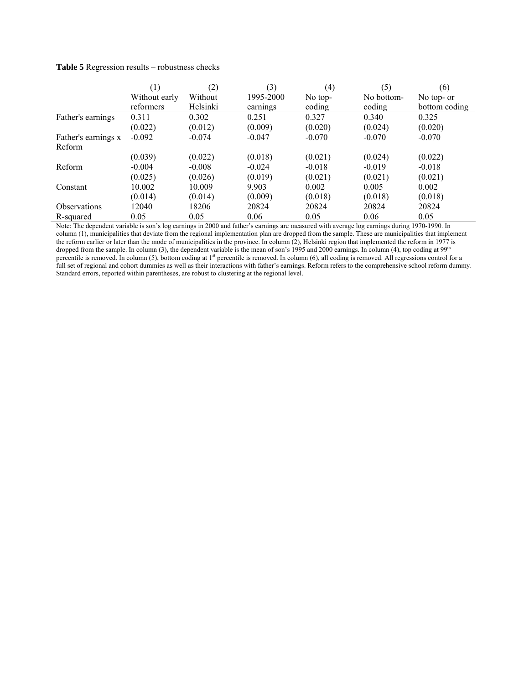|                                              | $\left(1\right)$                   | (2)                   | (3)       | (4)      | (5)        | (6)                 |
|----------------------------------------------|------------------------------------|-----------------------|-----------|----------|------------|---------------------|
|                                              | Without early                      | Without               | 1995-2000 | No top-  | No bottom- | No top- or          |
|                                              | reformers                          | Helsinki              | earnings  | coding   | coding     | bottom coding       |
| Father's earnings                            | 0.311                              | 0.302                 | 0.251     | 0.327    | 0.340      | 0.325               |
|                                              | (0.022)                            | (0.012)               | (0.009)   | (0.020)  | (0.024)    | (0.020)             |
| Father's earnings x                          | $-0.092$                           | $-0.074$              | $-0.047$  | $-0.070$ | $-0.070$   | $-0.070$            |
| Reform                                       |                                    |                       |           |          |            |                     |
|                                              | (0.039)                            | (0.022)               | (0.018)   | (0.021)  | (0.024)    | (0.022)             |
| Reform                                       | $-0.004$                           | $-0.008$              | $-0.024$  | $-0.018$ | $-0.019$   | $-0.018$            |
|                                              | (0.025)                            | (0.026)               | (0.019)   | (0.021)  | (0.021)    | (0.021)             |
| Constant                                     | 10.002                             | 10.009                | 9.903     | 0.002    | 0.005      | 0.002               |
|                                              | (0.014)                            | (0.014)               | (0.009)   | (0.018)  | (0.018)    | (0.018)             |
| <b>Observations</b>                          | 12040                              | 18206                 | 20824     | 20824    | 20824      | 20824               |
| R-squared<br>$\mathbf{1}$<br><b>AT / 771</b> | 0.05<br>$\cdots$<br>2 <sub>1</sub> | 0.05<br>0.000<br>10.1 | 0.06      | 0.05     | 0.06       | 0.05<br>1070 1000 T |

Note: The dependent variable is son's log earnings in 2000 and father's earnings are measured with average log earnings during 1970-1990. In column (1), municipalities that deviate from the regional implementation plan are dropped from the sample. These are municipalities that implement the reform earlier or later than the mode of municipalities in the province. In column (2), Helsinki region that implemented the reform in 1977 is dropped from the sample. In column (3), the dependent variable is the mean of son's 1995 and 2000 earnings. In column (4), top coding at  $99<sup>th</sup>$ percentile is removed. In column (5), bottom coding at 1<sup>st</sup> percentile is removed. In column (6), all coding is removed. All regressions control for a full set of regional and cohort dummies as well as their interactions with father's earnings. Reform refers to the comprehensive school reform dummy. Standard errors, reported within parentheses, are robust to clustering at the regional level.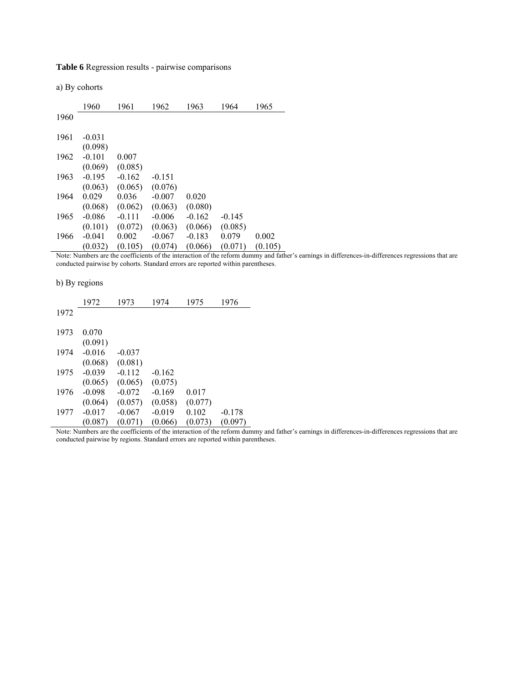**Table 6** Regression results - pairwise comparisons

a) By cohorts

|      | 1960     | 1961     | 1962     | 1963     | 1964     | 1965    |
|------|----------|----------|----------|----------|----------|---------|
| 1960 |          |          |          |          |          |         |
|      |          |          |          |          |          |         |
| 1961 | $-0.031$ |          |          |          |          |         |
|      | (0.098)  |          |          |          |          |         |
| 1962 | $-0.101$ | 0.007    |          |          |          |         |
|      | (0.069)  | (0.085)  |          |          |          |         |
| 1963 | $-0.195$ | $-0.162$ | $-0.151$ |          |          |         |
|      | (0.063)  | (0.065)  | (0.076)  |          |          |         |
| 1964 | 0.029    | 0.036    | $-0.007$ | 0.020    |          |         |
|      | (0.068)  | (0.062)  | (0.063)  | (0.080)  |          |         |
| 1965 | $-0.086$ | $-0.111$ | $-0.006$ | $-0.162$ | $-0.145$ |         |
|      | (0.101)  | (0.072)  | (0.063)  | (0.066)  | (0.085)  |         |
| 1966 | $-0.041$ | 0.002    | $-0.067$ | $-0.183$ | 0.079    | 0.002   |
|      | (0.032)  | (0.105)  | (0.074)  | (0.066)  | (0.071)  | (0.105) |

Note: Numbers are the coefficients of the interaction of the reform dummy and father's earnings in differences-in-differences regressions that are conducted pairwise by cohorts. Standard errors are reported within parentheses.

b) By regions

|      | 1972     | 1973     | 1974     | 1975    | 1976     |
|------|----------|----------|----------|---------|----------|
| 1972 |          |          |          |         |          |
| 1973 | 0.070    |          |          |         |          |
|      | (0.091)  |          |          |         |          |
| 1974 | $-0.016$ | $-0.037$ |          |         |          |
|      | (0.068)  | (0.081)  |          |         |          |
| 1975 | $-0.039$ | $-0.112$ | $-0.162$ |         |          |
|      | (0.065)  | (0.065)  | (0.075)  |         |          |
| 1976 | $-0.098$ | $-0.072$ | $-0.169$ | 0.017   |          |
|      | (0.064)  | (0.057)  | (0.058)  | (0.077) |          |
| 1977 | $-0.017$ | $-0.067$ | $-0.019$ | 0.102   | $-0.178$ |
|      | (0.087)  | (0.071)  | (0.066)  | (0.073) | (0.097)  |

Note: Numbers are the coefficients of the interaction of the reform dummy and father's earnings in differences-in-differences regressions that are conducted pairwise by regions. Standard errors are reported within parentheses.